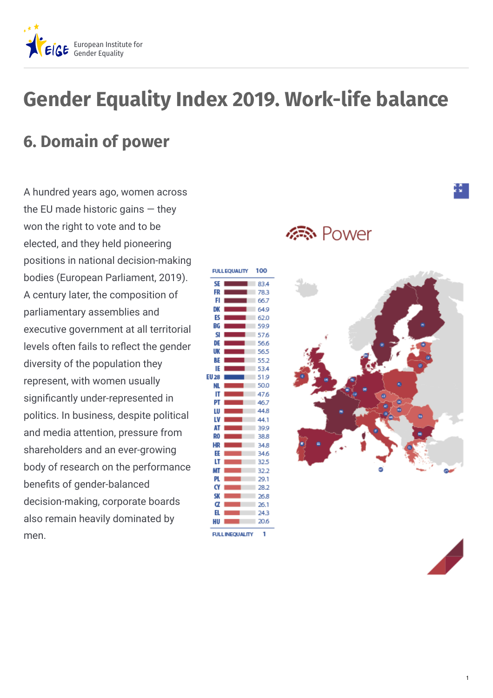

## **Gender Equality Index 2019. Work-life balance**

## **6. Domain of power**

A hundred years ago, women across the EU made historic gains — they won the right to vote and to be elected, and they held pioneering positions in national decision-making bodies (European Parliament, 2019). A century later, the composition of parliamentary assemblies and executive government at all territorial levels often fails to reflect the gender diversity of the population they represent, with women usually significantly under-represented in politics. In business, despite political and media attention, pressure from shareholders and an ever-growing body of research on the performance benefits of gender-balanced decision-making, corporate boards also remain heavily dominated by men.

**FULL FOUALITY** 100 SE 83.4 FR 78.3 66.7 Е D) 64.9 EC 62.0 BG 59.9 SI 576 DE 56.6 UK 565 BE 55.2 IE 53A **EU 28** 51.9 50.0 NI. IT 47.6 Pī 46.7 44.8 Ш ١V 44.1 A 39.9 RO 38.8 HR 34.8 34.6 FF IT 32.5 MT 32.2 PI 29.1 CY 28.2 SK 26.8 α 26.1 H. 24.3 HU 20.6 f. **FULLINEOUALITY** 

**标** Power